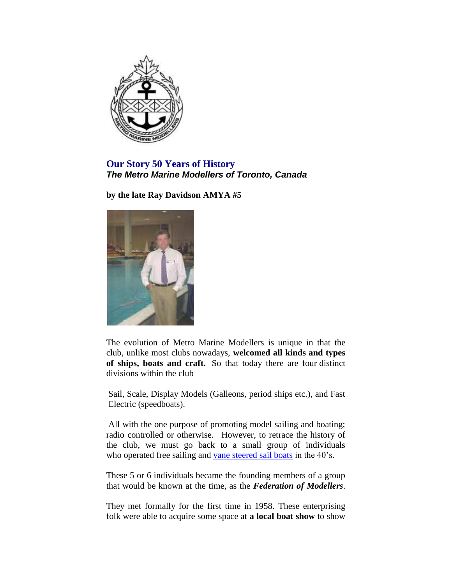

**Our Story 50 Years of History** *The Metro Marine Modellers of Toronto, Canada*

**by the late Ray Davidson AMYA #5**



The evolution of Metro Marine Modellers is unique in that the club, unlike most clubs nowadays, **welcomed all kinds and types of ships, boats and craft.** So that today there are four distinct divisions within the club

Sail, Scale, Display Models (Galleons, period ships etc.), and Fast .Electric (speedboats).

.All with the one purpose of promoting model sailing and boating; radio controlled or otherwise. However, to retrace the history of the club, we must go back to a small group of individuals who operated free sailing and [vane steered sail boats](http://www.diy-wood-boat.com/Wind_vane.html) in the 40's.

These 5 or 6 individuals became the founding members of a group that would be known at the time, as the *Federation of Modellers*.

They met formally for the first time in 1958. These enterprising folk were able to acquire some space at **a local boat show** to show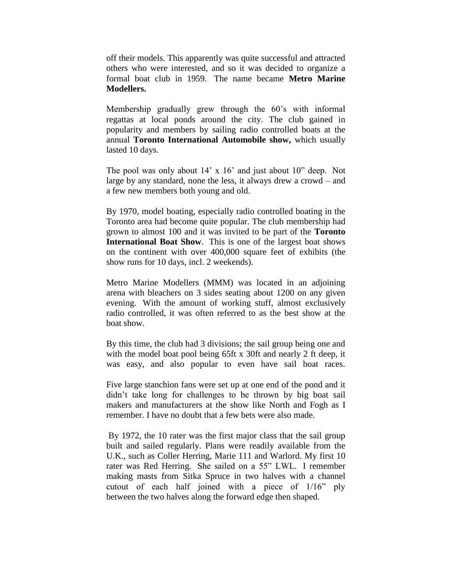off their models. This apparently was quite successful and attracted others who were interested, and so it was decided to organize a formal boat club in 1959. The name became **Metro Marine Modellers.**

Membership gradually grew through the 60's with informal regattas at local ponds around the city. The club gained in popularity and members by sailing radio controlled boats at the annual **Toronto International Automobile show,** which usually lasted 10 days.

The pool was only about 14' x 16' and just about 10" deep. Not large by any standard, none the less, it always drew a crowd – and a few new members both young and old.

By 1970, model boating, especially radio controlled boating in the Toronto area had become quite popular. The club membership had grown to almost 100 and it was invited to be part of the **Toronto International Boat Show**. This is one of the largest boat shows on the continent with over 400,000 square feet of exhibits (the show runs for 10 days, incl. 2 weekends).

Metro Marine Modellers (MMM) was located in an adjoining arena with bleachers on 3 sides seating about 1200 on any given evening. With the amount of working stuff, almost exclusively radio controlled, it was often referred to as the best show at the boat show.

By this time, the club had 3 divisions; the sail group being one and with the model boat pool being 65ft x 30ft and nearly 2 ft deep, it was easy, and also popular to even have sail boat races.

Five large stanchion fans were set up at one end of the pond and it didn't take long for challenges to be thrown by big boat sail makers and manufacturers at the show like North and Fogh as I remember. I have no doubt that a few bets were also made.

By 1972, the 10 rater was the first major class that the sail group built and sailed regularly. Plans were readily available from the U.K., such as Coller Herring, Marie 111 and Warlord. My first 10 rater was Red Herring. She sailed on a 55" LWL. I remember making masts from Sitka Spruce in two halves with a channel cutout of each half joined with a piece of 1/16" ply between the two halves along the forward edge then shaped.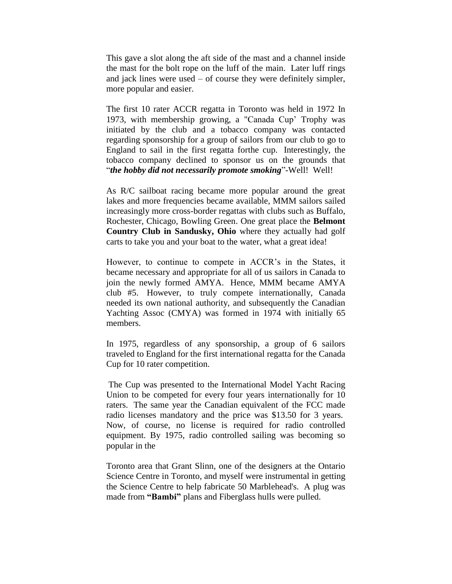This gave a slot along the aft side of the mast and a channel inside the mast for the bolt rope on the luff of the main. Later luff rings and jack lines were used – of course they were definitely simpler, more popular and easier.

The first 10 rater ACCR regatta in Toronto was held in 1972 In 1973, with membership growing, a "Canada Cup' Trophy was initiated by the club and a tobacco company was contacted regarding sponsorship for a group of sailors from our club to go to England to sail in the first regatta forthe cup. Interestingly, the tobacco company declined to sponsor us on the grounds that "*the hobby did not necessarily promote smoking*"-Well! Well!

As R/C sailboat racing became more popular around the great lakes and more frequencies became available, MMM sailors sailed increasingly more cross-border regattas with clubs such as Buffalo, Rochester, Chicago, Bowling Green. One great place the **Belmont Country Club in Sandusky, Ohio** where they actually had golf carts to take you and your boat to the water, what a great idea!

However, to continue to compete in ACCR's in the States, it became necessary and appropriate for all of us sailors in Canada to join the newly formed AMYA. Hence, MMM became AMYA club #5. However, to truly compete internationally, Canada needed its own national authority, and subsequently the Canadian Yachting Assoc (CMYA) was formed in 1974 with initially 65 members.

In 1975, regardless of any sponsorship, a group of 6 sailors traveled to England for the first international regatta for the Canada Cup for 10 rater competition.

The Cup was presented to the International Model Yacht Racing Union to be competed for every four years internationally for 10 raters. The same year the Canadian equivalent of the FCC made radio licenses mandatory and the price was \$13.50 for 3 years. Now, of course, no license is required for radio controlled equipment. By 1975, radio controlled sailing was becoming so popular in the

Toronto area that Grant Slinn, one of the designers at the Ontario Science Centre in Toronto, and myself were instrumental in getting the Science Centre to help fabricate 50 Marblehead's. A plug was made from **"Bambi"** plans and Fiberglass hulls were pulled.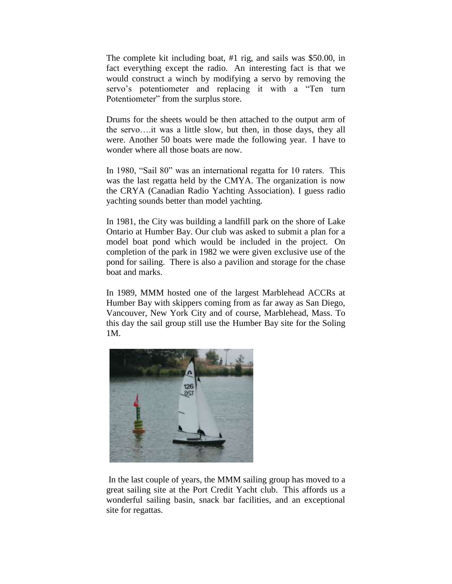The complete kit including boat, #1 rig, and sails was \$50.00, in fact everything except the radio. An interesting fact is that we would construct a winch by modifying a servo by removing the servo's potentiometer and replacing it with a "Ten turn Potentiometer" from the surplus store.

Drums for the sheets would be then attached to the output arm of the servo….it was a little slow, but then, in those days, they all were. Another 50 boats were made the following year. I have to wonder where all those boats are now.

In 1980, "Sail 80" was an international regatta for 10 raters. This was the last regatta held by the CMYA. The organization is now the CRYA (Canadian Radio Yachting Association). I guess radio yachting sounds better than model yachting.

In 1981, the City was building a landfill park on the shore of Lake Ontario at Humber Bay. Our club was asked to submit a plan for a model boat pond which would be included in the project. On completion of the park in 1982 we were given exclusive use of the pond for sailing. There is also a pavilion and storage for the chase boat and marks.

In 1989, MMM hosted one of the largest Marblehead ACCRs at Humber Bay with skippers coming from as far away as San Diego, Vancouver, New York City and of course, Marblehead, Mass. To this day the sail group still use the Humber Bay site for the Soling 1M.



In the last couple of years, the MMM sailing group has moved to a great sailing site at the Port Credit Yacht club. This affords us a wonderful sailing basin, snack bar facilities, and an exceptional site for regattas.